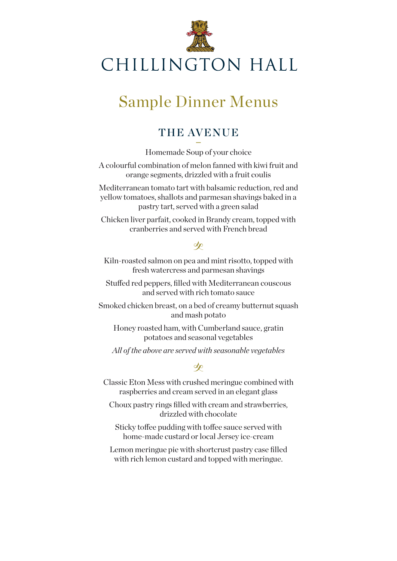

# Sample Dinner Menus

## THE AVENUE

**–** Homemade Soup of your choice

A colourful combination of melon fanned with kiwi fruit and orange segments, drizzled with a fruit coulis

Mediterranean tomato tart with balsamic reduction, red and yellow tomatoes, shallots and parmesan shavings baked in a pastry tart, served with a green salad

Chicken liver parfait, cooked in Brandy cream, topped with cranberries and served with French bread

#### $\infty$

Kiln-roasted salmon on pea and mint risotto, topped with fresh watercress and parmesan shavings

Stuffed red peppers, filled with Mediterranean couscous and served with rich tomato sauce

Smoked chicken breast, on a bed of creamy butternut squash and mash potato

Honey roasted ham, with Cumberland sauce, gratin potatoes and seasonal vegetables

*All of the above are served with seasonable vegetables*

#### $\infty$

Classic Eton Mess with crushed meringue combined with raspberries and cream served in an elegant glass

Choux pastry rings filled with cream and strawberries, drizzled with chocolate

Sticky toffee pudding with toffee sauce served with home-made custard or local Jersey ice-cream

Lemon meringue pie with shortcrust pastry case filled with rich lemon custard and topped with meringue.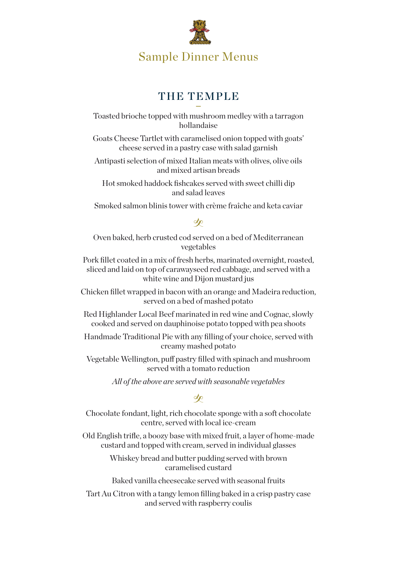

#### THE TEMPLE **–**

Toasted brioche topped with mushroom medley with a tarragon hollandaise

Goats Cheese Tartlet with caramelised onion topped with goats' cheese served in a pastry case with salad garnish

Antipasti selection of mixed Italian meats with olives, olive oils and mixed artisan breads

Hot smoked haddock fishcakes served with sweet chilli dip and salad leaves

Smoked salmon blinis tower with crème fraîche and keta caviar

#### $\infty$

Oven baked, herb crusted cod served on a bed of Mediterranean vegetables

Pork fillet coated in a mix of fresh herbs, marinated overnight, roasted, sliced and laid on top of carawayseed red cabbage, and served with a white wine and Dijon mustard jus

Chicken fillet wrapped in bacon with an orange and Madeira reduction, served on a bed of mashed potato

Red Highlander Local Beef marinated in red wine and Cognac, slowly cooked and served on dauphinoise potato topped with pea shoots

Handmade Traditional Pie with any filling of your choice, served with creamy mashed potato

Vegetable Wellington, puff pastry filled with spinach and mushroom served with a tomato reduction

*All of the above are served with seasonable vegetables*

#### $\infty$

Chocolate fondant, light, rich chocolate sponge with a soft chocolate centre, served with local ice-cream

Old English trifle, a boozy base with mixed fruit, a layer of home-made custard and topped with cream, served in individual glasses

> Whiskey bread and butter pudding served with brown caramelised custard

Baked vanilla cheesecake served with seasonal fruits

Tart Au Citron with a tangy lemon filling baked in a crisp pastry case and served with raspberry coulis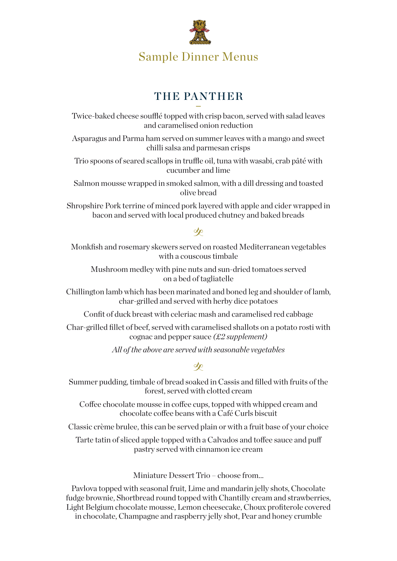

### THE PANTHER **–**

Twice-baked cheese soufflé topped with crisp bacon, served with salad leaves and caramelised onion reduction

Asparagus and Parma ham served on summer leaves with a mango and sweet chilli salsa and parmesan crisps

Trio spoons of seared scallops in truffle oil, tuna with wasabi, crab pâté with cucumber and lime

Salmon mousse wrapped in smoked salmon, with a dill dressing and toasted olive bread

Shropshire Pork terrine of minced pork layered with apple and cider wrapped in bacon and served with local produced chutney and baked breads

#### $\infty$

Monkfish and rosemary skewers served on roasted Mediterranean vegetables with a couscous timbale

Mushroom medley with pine nuts and sun-dried tomatoes served on a bed of tagliatelle

Chillington lamb which has been marinated and boned leg and shoulder of lamb, char-grilled and served with herby dice potatoes

Confit of duck breast with celeriac mash and caramelised red cabbage

Char-grilled fillet of beef, served with caramelised shallots on a potato rosti with cognac and pepper sauce *(£2 supplement)*

*All of the above are served with seasonable vegetables*

#### $\infty$

Summer pudding, timbale of bread soaked in Cassis and filled with fruits of the forest, served with clotted cream

Coffee chocolate mousse in coffee cups, topped with whipped cream and chocolate coffee beans with a Café Curls biscuit

Classic crème brulee, this can be served plain or with a fruit base of your choice

Tarte tatin of sliced apple topped with a Calvados and toffee sauce and puff pastry served with cinnamon ice cream

Miniature Dessert Trio – choose from...

Pavlova topped with seasonal fruit, Lime and mandarin jelly shots, Chocolate fudge brownie, Shortbread round topped with Chantilly cream and strawberries, Light Belgium chocolate mousse, Lemon cheesecake, Choux profiterole covered in chocolate, Champagne and raspberry jelly shot, Pear and honey crumble